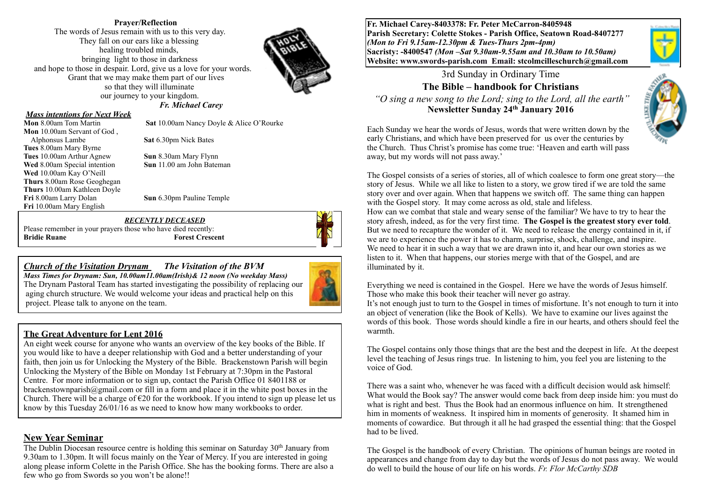### **Prayer/Reflection**

The words of Jesus remain with us to this very day. They fall on our ears like a blessing healing troubled minds, bringing light to those in darkness and hope to those in despair. Lord, give us a love for your words. Grant that we may make them part of our lives so that they will illuminate our journey to your kingdom.  *Fr. Michael Carey*



#### *Mass intentions for Next Week*

**Mon** 8.00am Tom Martin **Sat** 10.00am Nancy Doyle & Alice O'Rourke **Mon** 10.00am Servant of God , Alphonsus Lambe **Sat** 6.30pm Nick Bates **Tues** 8.00am Mary Byrne **Tues** 10.00am Arthur Agnew **Sun** 8.30am Mary Flynn **Wed** 8.00am Special intention **Sun** 11.00 am John Bateman **Wed** 10.00am Kay O'Neill **Thurs** 8.00am Rose Geoghegan **Thurs** 10.00am Kathleen Doyle **Fri** 8.00am Larry Dolan **Sun** 6.30pm Pauline Temple **Fri** 10.00am Mary English

#### *RECENTLY DECEASED*

Please remember in your prayers those who have died recently: **Bridie Ruane Forest Crescent** 

## *Church of the Visitation Drynam**The Visitation of the BVM*

*Mass Times for Drynam: Sun, 10.00am11.00am(Irish)& 12 noon (No weekday Mass)*  The Drynam Pastoral Team has started investigating the possibility of replacing our aging church structure. We would welcome your ideas and practical help on this project. Please talk to anyone on the team.

### **The Great Adventure for Lent 2016**

An eight week course for anyone who wants an overview of the key books of the Bible. If you would like to have a deeper relationship with God and a better understanding of your faith, then join us for Unlocking the Mystery of the Bible. Brackenstown Parish will begin Unlocking the Mystery of the Bible on Monday 1st February at 7:30pm in the Pastoral Centre. For more information or to sign up, contact the Parish Office 01 8401188 or brackenstownparish@gmail.com or fill in a form and place it in the white post boxes in the Church. There will be a charge of  $\epsilon$ 20 for the workbook. If you intend to sign up please let us know by this Tuesday 26/01/16 as we need to know how many workbooks to order.

### **New Year Seminar**

The Dublin Diocesan resource centre is holding this seminar on Saturday  $30<sup>th</sup>$  January from 9.30am to 1.30pm. It will focus mainly on the Year of Mercy. If you are interested in going along please inform Colette in the Parish Office. She has the booking forms. There are also a few who go from Swords so you won't be alone!!

**Fr. Michael Carey-8403378: Fr. Peter McCarron-8405948 Parish Secretary: Colette Stokes - Parish Office, Seatown Road-8407277**  *(Mon to Fri 9.15am-12.30pm & Tues-Thurs 2pm-4pm)*  **Sacristy: -8400547** *(Mon –Sat 9.30am-9.55am and 10.30am to 10.50am)* **Website: [www.swords-parish.com Email](http://www.swords-parish.com%20%20email): stcolmcilleschurch@gmail.com**



### 3rd Sunday in Ordinary Time **The Bible – handbook for Christians**

 *"O sing a new song to the Lord; sing to the Lord, all the earth"*  **Newsletter Sunday 24th January 2016**



Each Sunday we hear the words of Jesus, words that were written down by the early Christians, and which have been preserved for us over the centuries by the Church. Thus Christ's promise has come true: 'Heaven and earth will pass away, but my words will not pass away.'

The Gospel consists of a series of stories, all of which coalesce to form one great story—the story of Jesus. While we all like to listen to a story, we grow tired if we are told the same story over and over again. When that happens we switch off. The same thing can happen with the Gospel story. It may come across as old, stale and lifeless.

How can we combat that stale and weary sense of the familiar? We have to try to hear the story afresh, indeed, as for the very first time. **The Gospel is the greatest story ever told**. But we need to recapture the wonder of it. We need to release the energy contained in it, if we are to experience the power it has to charm, surprise, shock, challenge, and inspire. We need to hear it in such a way that we are drawn into it, and hear our own stories as we listen to it. When that happens, our stories merge with that of the Gospel, and are illuminated by it.

Everything we need is contained in the Gospel. Here we have the words of Jesus himself. Those who make this book their teacher will never go astray.

It's not enough just to turn to the Gospel in times of misfortune. It's not enough to turn it into an object of veneration (like the Book of Kells). We have to examine our lives against the words of this book. Those words should kindle a fire in our hearts, and others should feel the warmth.

The Gospel contains only those things that are the best and the deepest in life. At the deepest level the teaching of Jesus rings true. In listening to him, you feel you are listening to the voice of God.

There was a saint who, whenever he was faced with a difficult decision would ask himself: What would the Book say? The answer would come back from deep inside him: you must do what is right and best. Thus the Book had an enormous influence on him. It strengthened him in moments of weakness. It inspired him in moments of generosity. It shamed him in moments of cowardice. But through it all he had grasped the essential thing: that the Gospel had to be lived.

The Gospel is the handbook of every Christian. The opinions of human beings are rooted in appearances and change from day to day but the words of Jesus do not pass away. We would do well to build the house of our life on his words. *Fr. Flor McCarthy SDB*